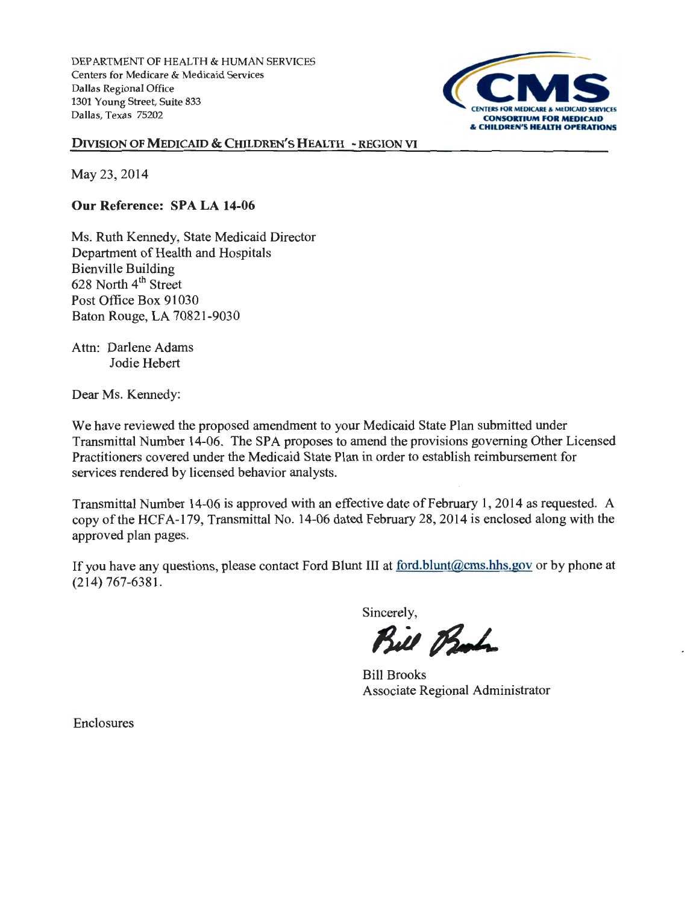DEPARTMENT OF HEALTH & HUMAN SERVICES Centers for Medicare & Medicaid Services Dallas Regional Office 1301 Young Street, Suite 833 Dallas, Texas 75202



DIVISION OF MEDICAID & CHILDREN'S HEALTH - REGION VI

May 23, 2014

Our Reference: SPA LA 14-06

Ms. Ruth Kennedy, State Medicaid Director Department of Health and Hospitals Bienville Building 628 North 4<sup>th</sup> Street Post Office Box 91030 Baton Rouge, LA 70821-9030

Attn: Darlene Adams Jodie Hebert

Dear Ms. Kennedy:

We have reviewed the proposed amendment to your Medicaid State Plan submitted under Transmittal Number 14-06. The SPA proposes to amend the provisions governing Other Licensed Practitioners covered under the Medicaid State Plan in order to establish reimbursement for services rendered by licensed behavior analysts.

Transmittal Number 14-06 is approved with an effective date of February 1, 2014 as requested. A copy of the HCFA-179, Transmittal No. 14-06 dated February 28, 2014 is enclosed along with the approved plan pages.

If you have any questions, please contact Ford Blunt III at ford.blunt@cms.hhs.gov or by phone at (214) 767-6381.

Sincerely,

Bill Bash.

Bill Brooks Associate Regional Administrator

**Enclosures**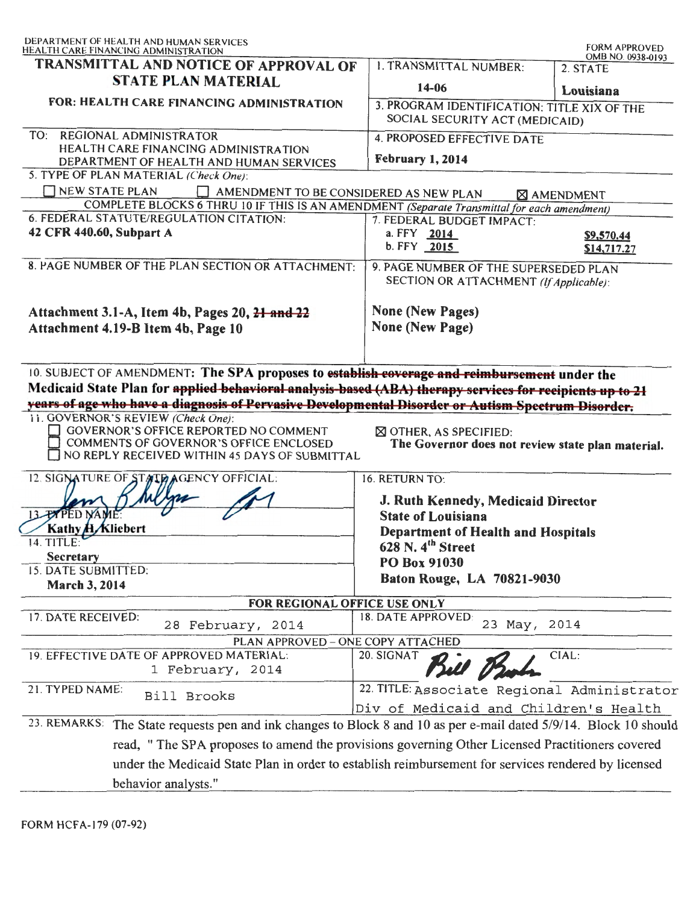| DEPARTMENT OF HEALTH AND HUMAN SERVICES<br>HEALTH CARE FINANCING ADMINISTRATION                                                                                                                                         |                                                                                                                                                                                                                         | <b>FORM APPROVED</b><br>OMB NO. 0938-0193 |
|-------------------------------------------------------------------------------------------------------------------------------------------------------------------------------------------------------------------------|-------------------------------------------------------------------------------------------------------------------------------------------------------------------------------------------------------------------------|-------------------------------------------|
| TRANSMITTAL AND NOTICE OF APPROVAL OF                                                                                                                                                                                   | <b>1. TRANSMITTAL NUMBER:</b>                                                                                                                                                                                           | 2. STATE                                  |
| <b>STATE PLAN MATERIAL</b>                                                                                                                                                                                              | 14-06                                                                                                                                                                                                                   | Louisiana                                 |
| FOR: HEALTH CARE FINANCING ADMINISTRATION                                                                                                                                                                               | 3. PROGRAM IDENTIFICATION: TITLE XIX OF THE<br>SOCIAL SECURITY ACT (MEDICAID)                                                                                                                                           |                                           |
| TO: REGIONAL ADMINISTRATOR                                                                                                                                                                                              | <b>4. PROPOSED EFFECTIVE DATE</b>                                                                                                                                                                                       |                                           |
| HEALTH CARE FINANCING ADMINISTRATION<br>DEPARTMENT OF HEALTH AND HUMAN SERVICES                                                                                                                                         | February 1, 2014                                                                                                                                                                                                        |                                           |
| 5. TYPE OF PLAN MATERIAL (Check One):                                                                                                                                                                                   |                                                                                                                                                                                                                         |                                           |
| <b>NEW STATE PLAN</b><br>AMENDMENT TO BE CONSIDERED AS NEW PLAN<br>COMPLETE BLOCKS 6 THRU 10 IF THIS IS AN AMENDMENT (Separate Transmittal for each amendment)                                                          |                                                                                                                                                                                                                         | <b>S</b> AMENDMENT                        |
| 6. FEDERAL STATUTE/REGULATION CITATION:                                                                                                                                                                                 | 7. FEDERAL BUDGET IMPACT:                                                                                                                                                                                               |                                           |
| 42 CFR 440.60, Subpart A                                                                                                                                                                                                | a. FFY 2014<br>$b. FFY$ 2015                                                                                                                                                                                            | \$9,570.44<br>\$14,717.27                 |
| 8. PAGE NUMBER OF THE PLAN SECTION OR ATTACHMENT:                                                                                                                                                                       | 9. PAGE NUMBER OF THE SUPERSEDED PLAN<br>SECTION OR ATTACHMENT (If Applicable):                                                                                                                                         |                                           |
| Attachment 3.1-A, Item 4b, Pages 20, 21 and 22                                                                                                                                                                          | <b>None (New Pages)</b>                                                                                                                                                                                                 |                                           |
| Attachment 4.19-B Item 4b, Page 10                                                                                                                                                                                      | <b>None (New Page)</b>                                                                                                                                                                                                  |                                           |
| GOVERNOR'S OFFICE REPORTED NO COMMENT<br>COMMENTS OF GOVERNOR'S OFFICE ENCLOSED<br>NO REPLY RECEIVED WITHIN 45 DAYS OF SUBMITTAL<br>12. SIGNATURE OF STATE AGENCY OFFICIAL:<br>13 <b>PAPED NAM</b><br>Kathy H. Kliebert | $\boxtimes$ OTHER, AS SPECIFIED:<br>The Governor does not review state plan material.<br>16. RETURN TO:<br>J. Ruth Kennedy, Medicaid Director<br><b>State of Louisiana</b><br><b>Department of Health and Hospitals</b> |                                           |
| 14. TITLE:                                                                                                                                                                                                              | 628 N. $4th$ Street                                                                                                                                                                                                     |                                           |
| <b>Secretary</b>                                                                                                                                                                                                        | PO Box 91030                                                                                                                                                                                                            |                                           |
| 15. DATE SUBMITTED:<br><b>March 3, 2014</b>                                                                                                                                                                             | Baton Rouge, LA 70821-9030                                                                                                                                                                                              |                                           |
| FOR REGIONAL OFFICE USE ONLY                                                                                                                                                                                            |                                                                                                                                                                                                                         |                                           |
| 17. DATE RECEIVED:<br>28 February, 2014                                                                                                                                                                                 | 18. DATE APPROVED:<br>23 May, 2014                                                                                                                                                                                      |                                           |
| PLAN APPROVED - ONE COPY ATTACHED<br>19. EFFECTIVE DATE OF APPROVED MATERIAL:                                                                                                                                           | 20. SIGNAT                                                                                                                                                                                                              |                                           |
| 1 February, 2014                                                                                                                                                                                                        |                                                                                                                                                                                                                         |                                           |
|                                                                                                                                                                                                                         | Bul V                                                                                                                                                                                                                   | CIAL:                                     |
| 21. TYPED NAME:<br>Bill Brooks                                                                                                                                                                                          | 22. TITLE: Associate Regional Administrator                                                                                                                                                                             |                                           |
|                                                                                                                                                                                                                         | Div of Medicaid and Children's Health                                                                                                                                                                                   |                                           |
| 23. REMARKS:<br>The State requests pen and ink changes to Block 8 and 10 as per e-mail dated 5/9/14. Block 10 should                                                                                                    |                                                                                                                                                                                                                         |                                           |
| read, " The SPA proposes to amend the provisions governing Other Licensed Practitioners covered                                                                                                                         |                                                                                                                                                                                                                         |                                           |
| under the Medicaid State Plan in order to establish reimbursement for services rendered by licensed                                                                                                                     |                                                                                                                                                                                                                         |                                           |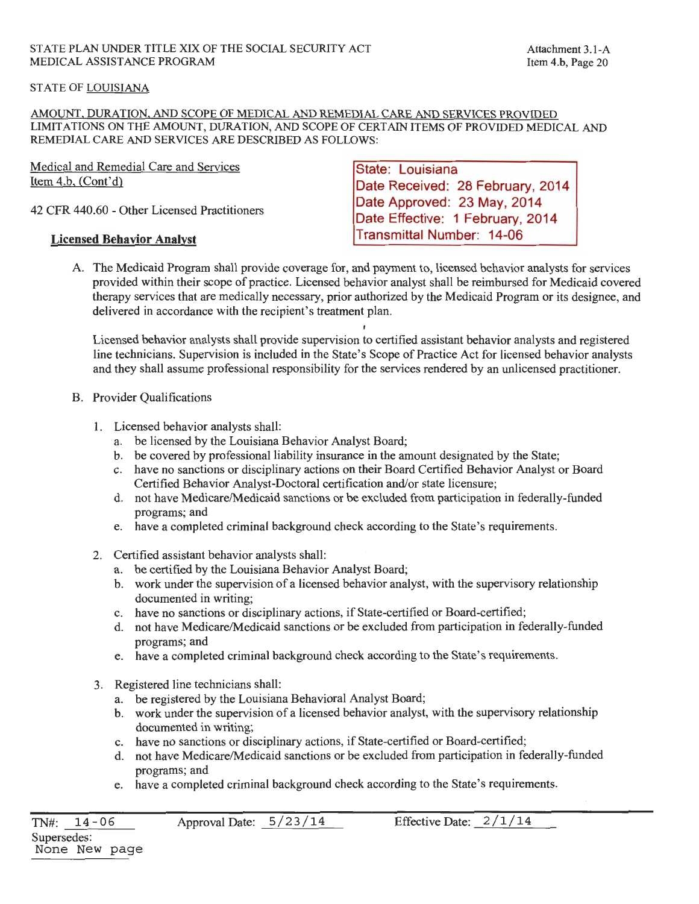# STATE OF LOUISIANA

AMOUNT, DURATION, AND SCOPE OF MEDICAL AND REMEDIAL CARE AND SERVICES PROVIDED LIMITATIONS ON THE AMOUNT, DURATION, AND SCOPE OF CERTAIN ITEMS OF PROVIDED MEDICAL AND REMEDIAL CARE AND SERVICES ARE DESCRIBED AS FOLLOWS:

Medical and Remedial Care and Services Item 4.b, (Cont'd)

42 CFR 440.60 - Other Licensed Practitioners

# **Licensed Behavior Analyst**

**State: Louisiana Date Received: 28 February, 2014 Date Approved: 23 May, 2014 Date Effective: 1 February, 2014 Transmittal Number: 14-06** 

A. The Medicaid Program shall provide coverage for, and payment to, licensed behavior analysts for services provided within their scope of practice. Licensed behavior analyst shall be reimbursed for Medicaid covered therapy services that are medically necessary, prior authorized by the Medicaid Program or its designee, and delivered in accordance with the recipient's treatment plan.

Licensed behavior analysts shall provide supervision to certified assistant behavior analysts and registered line technicians. Supervision is included in the State's Scope of Practice Act for licensed behavior analysts and they shall assume professional responsibility for the services rendered by an unlicensed practitioner.

- B. Provider Qualifications
	- **1.** Licensed behavior analysts shall:
		- a. be licensed by the Louisiana Behavior Analyst Board;
		- b. be covered by professional liability insurance in the amount designated by the State;
		- c. have no sanctions or disciplinary actions on their Board Certified Behavior Analyst or Board Certified Behavior Analyst-Doctoral certification and/or state licensure;
		- d. not have Medicare/Medicaid sanctions or be excluded from participation in federally-funded programs; and
		- e. have a completed criminal background check according to the State's requirements.
	- 2. Certified assistant behavior analysts shall:
		- a. be certified by the Louisiana Behavior Analyst Board;
		- b. work under the supervision of a licensed behavior analyst, with the supervisory relationship documented in writing;
		- c. have no sanctions or disciplinary actions, if State-certified or Board-certified;
		- d. not have Medicare/Medicaid sanctions or be excluded from participation in federally-funded programs; and
		- e. have a completed criminal background check according to the State's requirements.
	- 3. Registered line technicians shall:
		- a. be registered by the Louisiana Behavioral Analyst Board;
		- b. work under the supervision of a licensed behavior analyst, with the supervisory relationship documented in writing;
		- c. have no sanctions or disciplinary actions, if State-certified or Board-certified;
		- d. not have Medicare/Medicaid sanctions or be excluded from participation in federally-funded programs; and
		- e. have a completed criminal background check according to the State's requirements.